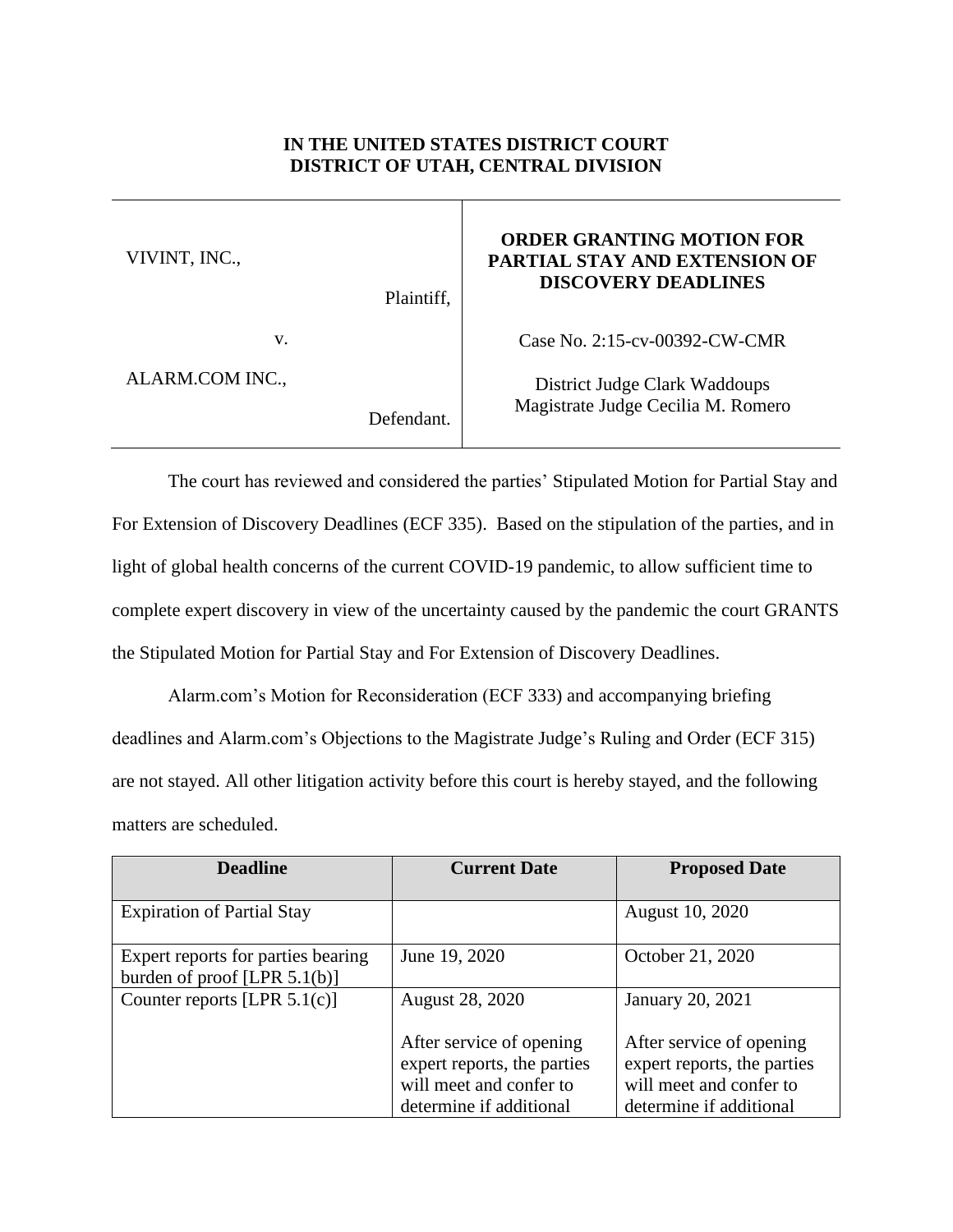## **IN THE UNITED STATES DISTRICT COURT DISTRICT OF UTAH, CENTRAL DIVISION**

| VIVINT, INC.,   | Plaintiff, | <b>ORDER GRANTING MOTION FOR</b><br><b>PARTIAL STAY AND EXTENSION OF</b><br><b>DISCOVERY DEADLINES</b> |
|-----------------|------------|--------------------------------------------------------------------------------------------------------|
| V.              |            | Case No. 2:15-cv-00392-CW-CMR                                                                          |
| ALARM.COM INC., |            | District Judge Clark Waddoups                                                                          |
|                 | Defendant  | Magistrate Judge Cecilia M. Romero                                                                     |

The court has reviewed and considered the parties' Stipulated Motion for Partial Stay and For Extension of Discovery Deadlines (ECF 335). Based on the stipulation of the parties, and in light of global health concerns of the current COVID-19 pandemic, to allow sufficient time to complete expert discovery in view of the uncertainty caused by the pandemic the court GRANTS the Stipulated Motion for Partial Stay and For Extension of Discovery Deadlines.

Alarm.com's Motion for Reconsideration (ECF 333) and accompanying briefing deadlines and Alarm.com's Objections to the Magistrate Judge's Ruling and Order (ECF 315) are not stayed. All other litigation activity before this court is hereby stayed, and the following matters are scheduled.

| <b>Deadline</b>                    | <b>Current Date</b>         | <b>Proposed Date</b>        |
|------------------------------------|-----------------------------|-----------------------------|
|                                    |                             |                             |
| <b>Expiration of Partial Stay</b>  |                             | August 10, 2020             |
|                                    |                             |                             |
| Expert reports for parties bearing | June 19, 2020               | October 21, 2020            |
| burden of proof [LPR $5.1(b)$ ]    |                             |                             |
| Counter reports [LPR $5.1(c)$ ]    | August 28, 2020             | <b>January 20, 2021</b>     |
|                                    |                             |                             |
|                                    | After service of opening    | After service of opening    |
|                                    | expert reports, the parties | expert reports, the parties |
|                                    | will meet and confer to     | will meet and confer to     |
|                                    | determine if additional     | determine if additional     |